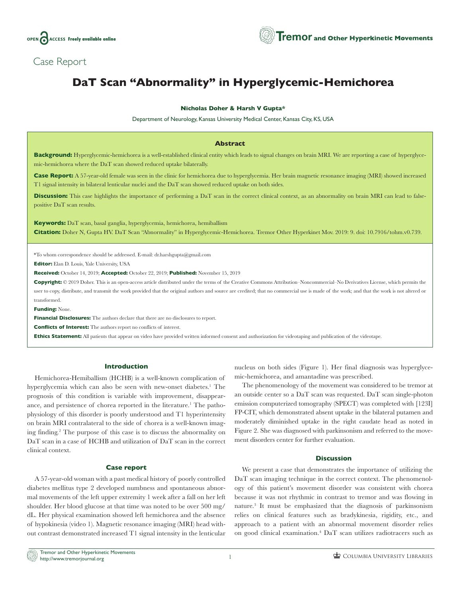

# Case Report

# **DaT Scan "Abnormality" in Hyperglycemic-Hemichorea**

## **Nicholas Doher & Harsh V Gupta\***

Department of Neurology, Kansas University Medical Center, Kansas City, KS, USA

#### **Abstract**

**Background:** Hyperglycemic-hemichorea is a well-established clinical entity which leads to signal changes on brain MRI. We are reporting a case of hyperglycemic-hemichorea where the DaT scan showed reduced uptake bilaterally.

**Case Report:** A 57-year-old female was seen in the clinic for hemichorea due to hyperglycemia. Her brain magnetic resonance imaging (MRI) showed increased T1 signal intensity in bilateral lenticular nuclei and the DaT scan showed reduced uptake on both sides.

**Discussion:** This case highlights the importance of performing a DaT scan in the correct clinical context, as an abnormality on brain MRI can lead to falsepositive DaT scan results.

**Keywords:** DaT scan, basal ganglia, hyperglycemia, hemichorea, hemiballism **Citation:** Doher N, Gupta HV. DaT Scan "Abnormality" in Hyperglycemic-Hemichorea. Tremor Other Hyperkinet Mov. 2019: 9. doi: [10.7916/tohm.v0.739](http://dx.doi.org/10.7916/tohm.v0.739).

\*To whom correspondence should be addressed. E-mail: [dr.harshgupta@gmail.com](mailto:dr.harshgupta@gmail.com)

**Editor:** Elan D. Louis, Yale University, USA

**Received:** October 14, 2019; **Accepted:** October 22, 2019; **Published:** November 15, 2019

**Copyright:** © 2019 Doher. This is an open-access article distributed under the terms of the Creative Commons Attribution–Noncommercial–No Derivatives License, which permits the user to copy, distribute, and transmit the work provided that the original authors and source are credited; that no commercial use is made of the work; and that the work is not altered or transformed.

**Funding:** None.

**Financial Disclosures:** The authors declare that there are no disclosures to report.

**Conflicts of Interest:** The authors report no conflicts of interest.

**Ethics Statement:** All patients that appear on video have provided written informed consent and authorization for videotaping and publication of the videotape.

# **Introduction**

Hemichorea-Hemiballism (HCHB) is a well-known complication of hyperglycemia which can also be seen with new-onset diabetes.<sup>1</sup> The prognosis of this condition is variable with improvement, disappearance, and persistence of chorea reported in the literature.<sup>1</sup> The pathophysiology of this disorder is poorly understood and T1 hyperintensity on brain MRI contralateral to the side of chorea is a well-known imaging finding.2 The purpose of this case is to discuss the abnormality on DaT scan in a case of HCHB and utilization of DaT scan in the correct clinical context.

## **Case report**

A 57-year-old woman with a past medical history of poorly controlled diabetes mellitus type 2 developed numbness and spontaneous abnormal movements of the left upper extremity 1 week after a fall on her left shoulder. Her blood glucose at that time was noted to be over 500 mg/ dL. Her physical examination showed left hemichorea and the absence of hypokinesia (video 1). Magnetic resonance imaging (MRI) head without contrast demonstrated increased T1 signal intensity in the lenticular nucleus on both sides (Figure 1). Her final diagnosis was hyperglycemic-hemichorea, and amantadine was prescribed.

The phenomenology of the movement was considered to be tremor at an outside center so a DaT scan was requested. DaT scan single-photon emission computerized tomography (SPECT) was completed with [123I] FP-CIT, which demonstrated absent uptake in the bilateral putamen and moderately diminished uptake in the right caudate head as noted in Figure 2. She was diagnosed with parkinsonism and referred to the movement disorders center for further evaluation.

#### **Discussion**

We present a case that demonstrates the importance of utilizing the DaT scan imaging technique in the correct context. The phenomenology of this patient's movement disorder was consistent with chorea because it was not rhythmic in contrast to tremor and was flowing in nature.3 It must be emphasized that the diagnosis of parkinsonism relies on clinical features such as bradykinesia, rigidity, etc., and approach to a patient with an abnormal movement disorder relies on good clinical examination.4 DaT scan utilizes radiotracers such as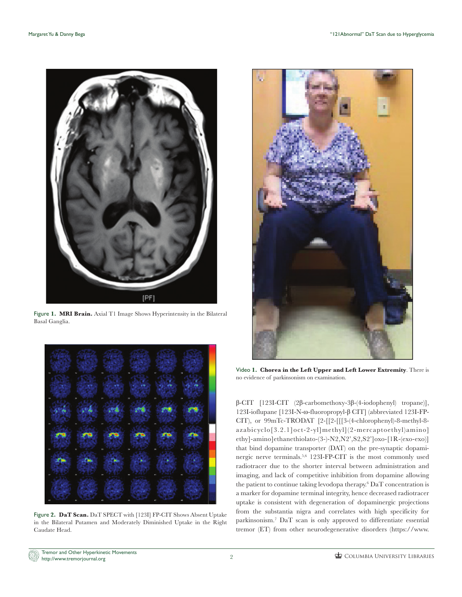

Figure **1. MRI Brain.** Axial T1 Image Shows Hyperintensity in the Bilateral Basal Ganglia.



Figure **2. DaT Scan.** DaT SPECT with [123I] FP-CIT Shows Absent Uptake in the Bilateral Putamen and Moderately Diminished Uptake in the Right Caudate Head.



Video **1. Chorea in the Left Upper and Left Lower Extremity**. There is no evidence of parkinsonism on examination.

β-CIT [123I-CIT (2β-carbomethoxy-3β-(4-iodophenyl) tropane)], 123I-ioflupane [123I-N-ω-fluoropropyl-β CIT] (abbreviated 123I-FP-CIT), or 99mTc-TRODAT [2-[[2-[[[3-(4-chlorophenyl)-8-methyl-8 azabicyclo[3.2.1]oct-2-yl]methyl](2-mercaptoethyl)amino] ethy]-amino]ethanethiolato-(3-)-N2,N2',S2,S2']oxo-[1R-(exo-exo)] that bind dopamine transporter (DAT) on the pre-synaptic dopaminergic nerve terminals.5,6 123I-FP-CIT is the most commonly used radiotracer due to the shorter interval between administration and imaging, and lack of competitive inhibition from dopamine allowing the patient to continue taking levodopa therapy.<sup>6</sup> DaT concentration is a marker for dopamine terminal integrity, hence decreased radiotracer uptake is consistent with degeneration of dopaminergic projections from the substantia nigra and correlates with high specificity for parkinsonism.7 DaT scan is only approved to differentiate essential tremor (ET) from other neurodegenerative disorders ([https://www.](https://www.accessdata.fda.gov/drugsatfda_docs/label/2011/022454Orig1s000Lbl.pdf)